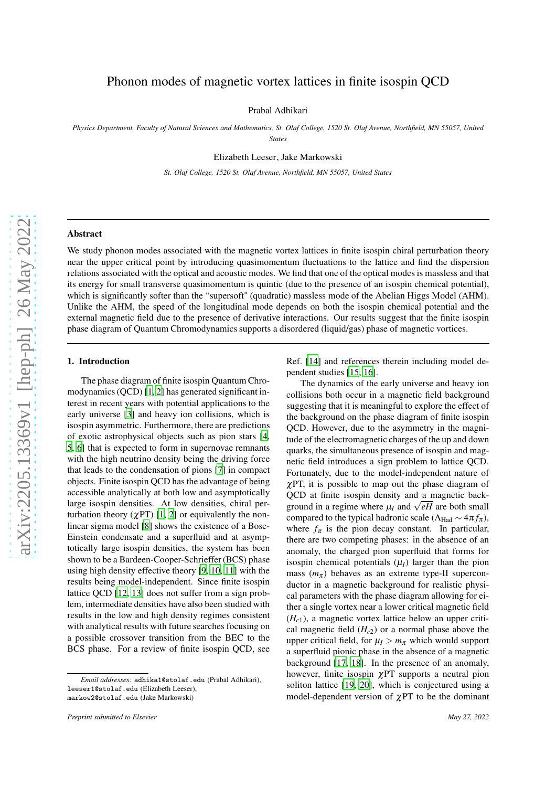# Phonon modes of magnetic vortex lattices in finite isospin QCD

Prabal Adhikari

*Physics Department, Faculty of Natural Sciences and Mathematics, St. Olaf College, 1520 St. Olaf Avenue, Northfield, MN 55057, United States*

Elizabeth Leeser, Jake Markowski

*St. Olaf College, 1520 St. Olaf Avenue, Northfield, MN 55057, United States*

## Abstract

We study phonon modes associated with the magnetic vortex lattices in finite isospin chiral perturbation theory near the upper critical point by introducing quasimomentum fluctuations to the lattice and find the dispersion relations associated with the optical and acoustic modes. We find that one of the optical modes is massless and that its energy for small transverse quasimomentum is quintic (due to the presence of an isospin chemical potential), which is significantly softer than the "supersoft" (quadratic) massless mode of the Abelian Higgs Model (AHM). Unlike the AHM, the speed of the longitudinal mode depends on both the isospin chemical potential and the external magnetic field due to the presence of derivative interactions. Our results suggest that the finite isospin phase diagram of Quantum Chromodynamics supports a disordered (liquid/gas) phase of magnetic vortices.

## 1. Introduction

The phase diagram of finite isospin Quantum Chromodynamics (QCD) [\[1,](#page-7-0) [2\]](#page-7-1) has generated significant interest in recent years with potential applications to the early universe [\[3\]](#page-7-2) and heavy ion collisions, which is isospin asymmetric. Furthermore, there are predictions of exotic astrophysical objects such as pion stars [\[4](#page-7-3), [5](#page-7-4), [6\]](#page-7-5) that is expected to form in supernovae remnants with the high neutrino density being the driving force that leads to the condensation of pions [\[7](#page-7-6)] in compact objects. Finite isospin QCD has the advantage of being accessible analytically at both low and asymptotically large isospin densities. At low densities, chiral perturbation theory  $(\chi PT)$  [\[1,](#page-7-0) [2\]](#page-7-1) or equivalently the nonlinear sigma model [\[8\]](#page-7-7) shows the existence of a Bose-Einstein condensate and a superfluid and at asymptotically large isospin densities, the system has been shown to be a Bardeen-Cooper-Schrieffer (BCS) phase using high density effective theory [\[9,](#page-7-8) [10,](#page-7-9) [11\]](#page-7-10) with the results being model-independent. Since finite isospin lattice QCD [\[12,](#page-7-11) [13\]](#page-7-12) does not suffer from a sign problem, intermediate densities have also been studied with results in the low and high density regimes consistent with analytical results with future searches focusing on a possible crossover transition from the BEC to the BCS phase. For a review of finite isospin QCD, see

Ref. [\[14](#page-7-13)] and references therein including model dependent studies [\[15](#page-7-14), [16\]](#page-7-15).

The dynamics of the early universe and heavy ion collisions both occur in a magnetic field background suggesting that it is meaningful to explore the effect of the background on the phase diagram of finite isospin QCD. However, due to the asymmetry in the magnitude of the electromagnetic charges of the up and down quarks, the simultaneous presence of isospin and magnetic field introduces a sign problem to lattice QCD. Fortunately, due to the model-independent nature of  $\chi$ PT, it is possible to map out the phase diagram of QCD at finite isospin density and a magnetic background in a regime where  $\mu_I$  and  $\sqrt{eH}$  are both small compared to the typical hadronic scale ( $\Lambda_{\text{Had}} \sim 4\pi f_{\pi}$ ), where  $f_{\pi}$  is the pion decay constant. In particular, there are two competing phases: in the absence of an anomaly, the charged pion superfluid that forms for isospin chemical potentials  $(\mu_I)$  larger than the pion mass  $(m_{\pi})$  behaves as an extreme type-II superconductor in a magnetic background for realistic physical parameters with the phase diagram allowing for either a single vortex near a lower critical magnetic field (*Hc*1), a magnetic vortex lattice below an upper critical magnetic field  $(H<sub>c2</sub>)$  or a normal phase above the upper critical field, for  $\mu_I > m_{\pi}$  which would support a superfluid pionic phase in the absence of a magnetic background [\[17](#page-7-16), [18](#page-7-17)]. In the presence of an anomaly, however, finite isospin  $\gamma$ PT supports a neutral pion soliton lattice [\[19,](#page-7-18) [20](#page-7-19)], which is conjectured using a model-dependent version of  $\chi$ PT to be the dominant

*Email addresses:* adhika1@stolaf.edu (Prabal Adhikari), leeser1@stolaf.edu (Elizabeth Leeser), markow2@stolaf.edu (Jake Markowski)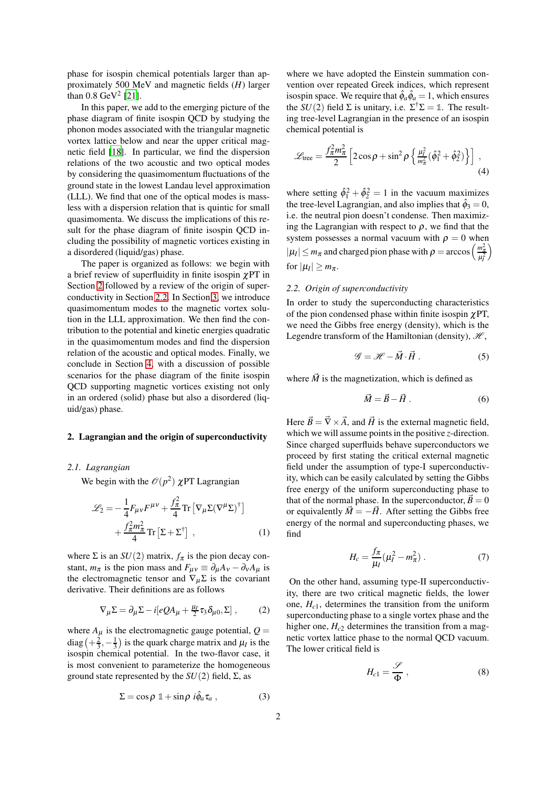phase for isospin chemical potentials larger than approximately 500 MeV and magnetic fields (*H*) larger than  $0.8 \text{ GeV}^2$  [\[21\]](#page-7-20).

In this paper, we add to the emerging picture of the phase diagram of finite isospin QCD by studying the phonon modes associated with the triangular magnetic vortex lattice below and near the upper critical magnetic field [\[18\]](#page-7-17). In particular, we find the dispersion relations of the two acoustic and two optical modes by considering the quasimomentum fluctuations of the ground state in the lowest Landau level approximation (LLL). We find that one of the optical modes is massless with a dispersion relation that is quintic for small quasimomenta. We discuss the implications of this result for the phase diagram of finite isospin QCD including the possibility of magnetic vortices existing in a disordered (liquid/gas) phase.

The paper is organized as follows: we begin with a brief review of superfluidity in finite isospin  $\chi$ PT in Section [2](#page-1-0) followed by a review of the origin of superconductivity in Section [2.2.](#page-1-1) In Section [3,](#page-2-0) we introduce quasimomentum modes to the magnetic vortex solution in the LLL approximation. We then find the contribution to the potential and kinetic energies quadratic in the quasimomentum modes and find the dispersion relation of the acoustic and optical modes. Finally, we conclude in Section [4,](#page-6-0) with a discussion of possible scenarios for the phase diagram of the finite isospin QCD supporting magnetic vortices existing not only in an ordered (solid) phase but also a disordered (liquid/gas) phase.

#### <span id="page-1-0"></span>2. Lagrangian and the origin of superconductivity

## *2.1. Lagrangian*

We begin with the  $\mathcal{O}(p^2)$   $\chi$ PT Lagrangian

$$
\mathcal{L}_2 = -\frac{1}{4} F_{\mu\nu} F^{\mu\nu} + \frac{f_{\pi}^2}{4} \text{Tr} \left[ \nabla_{\mu} \Sigma (\nabla^{\mu} \Sigma)^{\dagger} \right] + \frac{f_{\pi}^2 m_{\pi}^2}{4} \text{Tr} \left[ \Sigma + \Sigma^{\dagger} \right] , \qquad (1)
$$

where  $\Sigma$  is an  $SU(2)$  matrix,  $f_{\pi}$  is the pion decay constant,  $m_{\pi}$  is the pion mass and  $F_{\mu\nu} \equiv \partial_{\mu}A_{\nu} - \partial_{\nu}A_{\mu}$  is the electromagnetic tensor and  $\nabla_{\mu} \Sigma$  is the covariant derivative. Their definitions are as follows

$$
\nabla_{\mu} \Sigma = \partial_{\mu} \Sigma - i [e Q A_{\mu} + \frac{\mu_I}{2} \tau_3 \delta_{\mu 0}, \Sigma] , \qquad (2)
$$

where  $A_{\mu}$  is the electromagnetic gauge potential,  $Q =$ diag  $\left(+\frac{2}{3}, -\frac{1}{3}\right)$  is the quark charge matrix and  $\mu_I$  is the isospin chemical potential. In the two-flavor case, it is most convenient to parameterize the homogeneous ground state represented by the *SU*(2) field, Σ, as

$$
\Sigma = \cos \rho \, \mathbb{1} + \sin \rho \, i \hat{\phi}_a \tau_a \,, \tag{3}
$$

where we have adopted the Einstein summation convention over repeated Greek indices, which represent isospin space. We require that  $\hat{\phi}_a \hat{\phi}_a = 1$ , which ensures the  $SU(2)$  field  $\Sigma$  is unitary, i.e.  $\Sigma^{\dagger} \Sigma = \mathbb{1}$ . The resulting tree-level Lagrangian in the presence of an isospin chemical potential is

$$
\mathcal{L}_{\text{tree}} = \frac{f_{\pi}^2 m_{\pi}^2}{2} \left[ 2 \cos \rho + \sin^2 \rho \left\{ \frac{\mu_l^2}{m_{\pi}^2} (\hat{\phi}_1^2 + \hat{\phi}_2^2) \right\} \right] , \tag{4}
$$

where setting  $\hat{\phi}_1^2 + \hat{\phi}_2^2 = 1$  in the vacuum maximizes the tree-level Lagrangian, and also implies that  $\hat{\phi}_3 = 0$ , i.e. the neutral pion doesn't condense. Then maximizing the Lagrangian with respect to  $\rho$ , we find that the system possesses a normal vacuum with  $\rho = 0$  when  $|\mu_I| \le m_\pi$  and charged pion phase with  $\rho = \arccos\left(\frac{m_\pi^2}{\mu_I^2}\right)$  $\setminus$ for  $|\mu_I| \geq m_{\pi}$ .

#### <span id="page-1-1"></span>*2.2. Origin of superconductivity*

In order to study the superconducting characteristics of the pion condensed phase within finite isospin χPT, we need the Gibbs free energy (density), which is the Legendre transform of the Hamiltonian (density),  $\mathcal{H}$ ,

$$
\mathcal{G} = \mathcal{H} - \vec{M} \cdot \vec{H} \,. \tag{5}
$$

where  $\vec{M}$  is the magnetization, which is defined as

$$
\vec{M} = \vec{B} - \vec{H} \tag{6}
$$

Here  $\vec{B} = \vec{\nabla} \times \vec{A}$ , and  $\vec{H}$  is the external magnetic field, which we will assume points in the positive *z*-direction. Since charged superfluids behave superconductors we proceed by first stating the critical external magnetic field under the assumption of type-I superconductivity, which can be easily calculated by setting the Gibbs free energy of the uniform superconducting phase to that of the normal phase. In the superconductor,  $\vec{B} = 0$ or equivalently  $\vec{M} = -\vec{H}$ . After setting the Gibbs free energy of the normal and superconducting phases, we find

$$
H_c = \frac{f_\pi}{\mu_I} (\mu_I^2 - m_\pi^2) \ . \tag{7}
$$

On the other hand, assuming type-II superconductivity, there are two critical magnetic fields, the lower one,  $H_{c1}$ , determines the transition from the uniform superconducting phase to a single vortex phase and the higher one,  $H_{c2}$  determines the transition from a magnetic vortex lattice phase to the normal QCD vacuum. The lower critical field is

$$
H_{c1} = \frac{\mathscr{S}}{\Phi} \,, \tag{8}
$$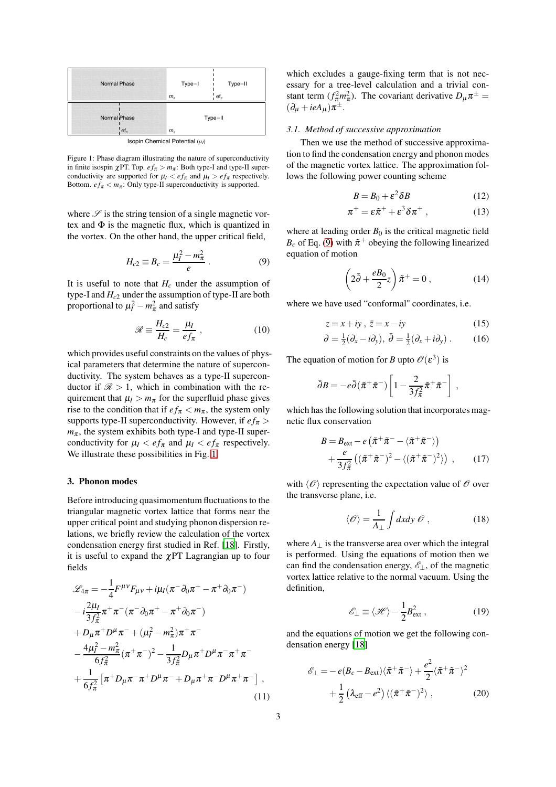<span id="page-2-1"></span>

Figure 1: Phase diagram illustrating the nature of superconductivity in finite isospin  $\chi$ PT. Top.  $ef_{\pi} > m_{\pi}$ : Both type-I and type-II superconductivity are supported for  $\mu_I < e f_\pi$  and  $\mu_I > e f_\pi$  respectively. Bottom.  $ef_{\pi} < m_{\pi}$ : Only type-II superconductivity is supported.

where  $\mathscr S$  is the string tension of a single magnetic vortex and  $\Phi$  is the magnetic flux, which is quantized in the vortex. On the other hand, the upper critical field,

$$
H_{c2} \equiv B_c = \frac{\mu_l^2 - m_\pi^2}{e} \,. \tag{9}
$$

It is useful to note that  $H_c$  under the assumption of type-I and *Hc*<sup>2</sup> under the assumption of type-II are both proportional to  $\mu_I^2 - m_\pi^2$  and satisfy

$$
\mathcal{R} \equiv \frac{H_{c2}}{H_c} = \frac{\mu_I}{ef_\pi} , \qquad (10)
$$

which provides useful constraints on the values of physical parameters that determine the nature of superconductivity. The system behaves as a type-II superconductor if  $\mathcal{R} > 1$ , which in combination with the requirement that  $\mu_I > m_\pi$  for the superfluid phase gives rise to the condition that if  $ef_{\pi} < m_{\pi}$ , the system only supports type-II superconductivity. However, if  $ef_\pi$  >  $m_{\pi}$ , the system exhibits both type-I and type-II superconductivity for  $\mu_I < e f_\pi$  and  $\mu_I < e f_\pi$  respectively. We illustrate these possibilities in Fig. [1.](#page-2-1)

#### <span id="page-2-0"></span>3. Phonon modes

Before introducing quasimomentum fluctuations to the triangular magnetic vortex lattice that forms near the upper critical point and studying phonon dispersion relations, we briefly review the calculation of the vortex condensation energy first studied in Ref. [\[18\]](#page-7-17). Firstly, it is useful to expand the  $\chi$ PT Lagrangian up to four fields

$$
\mathcal{L}_{4\pi} = -\frac{1}{4} F^{\mu\nu} F_{\mu\nu} + i\mu_I (\pi^- \partial_0 \pi^+ - \pi^+ \partial_0 \pi^-)
$$
  
\n
$$
-i\frac{2\mu_I}{3f_{\pi}^2} \pi^+ \pi^- (\pi^- \partial_0 \pi^+ - \pi^+ \partial_0 \pi^-)
$$
  
\n
$$
+ D_{\mu} \pi^+ D^{\mu} \pi^- + (\mu_I^2 - m_{\pi}^2) \pi^+ \pi^-
$$
  
\n
$$
- \frac{4\mu_I^2 - m_{\pi}^2}{6f_{\pi}^2} (\pi^+ \pi^-)^2 - \frac{1}{3f_{\pi}^2} D_{\mu} \pi^+ D^{\mu} \pi^- \pi^+ \pi^-
$$
  
\n
$$
+ \frac{1}{6f_{\pi}^2} [\pi^+ D_{\mu} \pi^- \pi^+ D^{\mu} \pi^- + D_{\mu} \pi^+ \pi^- D^{\mu} \pi^+ \pi^-]
$$
  
\n(11)

which excludes a gauge-fixing term that is not necessary for a tree-level calculation and a trivial constant term  $(f_{\pi}^2 m_{\pi}^2)$ . The covariant derivative  $D_{\mu} \pi^{\pm} =$  $(\partial_{\mu} + ieA_{\mu})\pi^{\pm}$ .

#### *3.1. Method of successive approximation*

Then we use the method of successive approximation to find the condensation energy and phonon modes of the magnetic vortex lattice. The approximation follows the following power counting scheme

$$
B = B_0 + \varepsilon^2 \delta B \tag{12}
$$

$$
\pi^+ = \varepsilon \tilde{\pi}^+ + \varepsilon^3 \delta \pi^+ \,, \tag{13}
$$

<span id="page-2-2"></span>where at leading order  $B_0$  is the critical magnetic field  $B_c$  of Eq. [\(9\)](#page-2-2) with  $\tilde{\pi}^+$  obeying the following linearized equation of motion

<span id="page-2-4"></span>
$$
\left(2\bar{\partial} + \frac{eB_0}{2}z\right)\tilde{\pi}^+ = 0\,,\tag{14}
$$

where we have used "conformal" coordinates, i.e.

$$
z = x + iy, \quad \bar{z} = x - iy \tag{15}
$$

$$
\partial = \frac{1}{2}(\partial_x - i\partial_y), \ \bar{\partial} = \frac{1}{2}(\partial_x + i\partial_y).
$$
 (16)

The equation of motion for *B* upto  $\mathcal{O}(\varepsilon^3)$  is

$$
\bar{\partial}B = -e\bar{\partial}(\tilde{\pi}^+\tilde{\pi}^-)\left[1 - \frac{2}{3f_{\tilde{\pi}}^2}\tilde{\pi}^+\tilde{\pi}^-\right],
$$

which has the following solution that incorporates magnetic flux conservation

$$
B = B_{\text{ext}} - e \left( \tilde{\pi}^+ \tilde{\pi}^- - \langle \tilde{\pi}^+ \tilde{\pi}^- \rangle \right) + \frac{e}{3f_{\pi}^2} \left( \left( \tilde{\pi}^+ \tilde{\pi}^- \right)^2 - \langle \left( \tilde{\pi}^+ \tilde{\pi}^- \right)^2 \rangle \right) , \qquad (17)
$$

with  $\langle \mathcal{O} \rangle$  representing the expectation value of  $\mathcal O$  over the transverse plane, i.e.

<span id="page-2-6"></span>
$$
\langle \mathcal{O} \rangle = \frac{1}{A_{\perp}} \int dx dy \ \mathcal{O} \ , \qquad (18)
$$

where  $A_{\perp}$  is the transverse area over which the integral is performed. Using the equations of motion then we can find the condensation energy,  $\mathscr{E}_\perp$ , of the magnetic vortex lattice relative to the normal vacuum. Using the definition,

<span id="page-2-3"></span>
$$
\mathscr{E}_{\perp} \equiv \langle \mathscr{H} \rangle - \frac{1}{2} B_{\text{ext}}^2 \,, \tag{19}
$$

and the equations of motion we get the following condensation energy [\[18](#page-7-17)]

<span id="page-2-5"></span>
$$
\mathscr{E}_{\perp} = -e(B_c - B_{ext})\langle \tilde{\pi}^+ \tilde{\pi}^- \rangle + \frac{e^2}{2} \langle \tilde{\pi}^+ \tilde{\pi}^- \rangle^2 + \frac{1}{2} \left( \lambda_{eff} - e^2 \right) \langle (\tilde{\pi}^+ \tilde{\pi}^-)^2 \rangle ,
$$
 (20)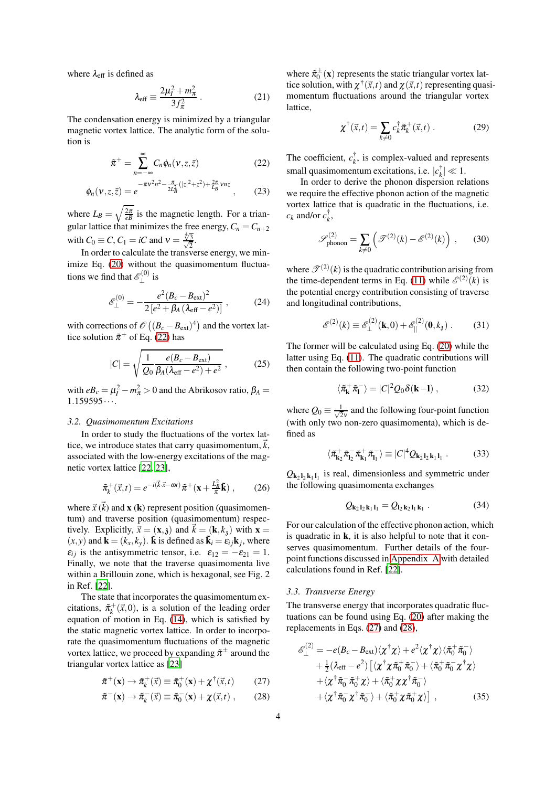where  $\lambda_{\text{eff}}$  is defined as

$$
\lambda_{\text{eff}} \equiv \frac{2\mu_l^2 + m_\pi^2}{3f_\pi^2} \,. \tag{21}
$$

The condensation energy is minimized by a triangular magnetic vortex lattice. The analytic form of the solution is

$$
\tilde{\pi}^+ = \sum_{n=-\infty}^{\infty} C_n \phi_n(\nu, z, \bar{z})
$$
 (22)

$$
\phi_n(\nu, z, \bar{z}) = e^{-\pi \nu^2 n^2 - \frac{\pi}{2L_B^2} (|z|^2 + z^2) + \frac{2\pi}{L_B} \nu n z}, \qquad (23)
$$

where  $L_B = \sqrt{\frac{2\pi}{eB}}$  is the magnetic length. For a triangular lattice that minimizes the free energy,  $C_n = C_{n+2}$ with  $C_0 \equiv C, C_1 = iC$  and  $v = \frac{4}{\sqrt{2}}$  $\frac{\sqrt[4]{3}}{\sqrt{2}}$  $\frac{3}{2}$ .

In order to calculate the transverse energy, we min-imize Eq. [\(20\)](#page-2-3) without the quasimomentum fluctuations we find that  $\mathscr{E}_1^{(0)}$  $\mathbf{r}^{(0)}$  is

$$
\mathscr{E}_{\perp}^{(0)} = -\frac{e^2 (B_c - B_{\text{ext}})^2}{2 \left[ e^2 + \beta_A \left( \lambda_{\text{eff}} - e^2 \right) \right]} \,, \tag{24}
$$

with corrections of  $\mathcal{O}((B_c - B_{ext})^4)$  and the vortex lattice solution  $\tilde{\pi}^+$  of Eq. [\(22\)](#page-3-0) has

$$
|C| = \sqrt{\frac{1}{Q_0} \frac{e(B_c - B_{\text{ext}})}{\beta_A (\lambda_{\text{eff}} - e^2) + e^2}},
$$
 (25)

with  $eB_c = \mu_I^2 - m_\pi^2 > 0$  and the Abrikosov ratio,  $\beta_A =$  $1.159595...$ 

#### *3.2. Quasimomentum Excitations*

In order to study the fluctuations of the vortex lattice, we introduce states that carry quasimomentum,  $\vec{k}$ , associated with the low-energy excitations of the magnetic vortex lattice [\[22,](#page-7-21) [23\]](#page-7-22),

$$
\tilde{\pi}_k^+(\vec{x},t) = e^{-i(\vec{k}\cdot\vec{x}-\omega t)}\tilde{\pi}^+(\mathbf{x}+\frac{L_B^2}{\pi}\tilde{\mathbf{k}}) ,\qquad(26)
$$

where  $\vec{x}$  ( $\vec{k}$ ) and **x** (**k**) represent position (quasimomentum) and traverse position (quasimomentum) respectively. Explicitly,  $\vec{x} = (\mathbf{x}, \mathbf{z})$  and  $\vec{k} = (\mathbf{k}, k_{\mathbf{z}})$  with  $\mathbf{x} =$  $(x, y)$  and  $\mathbf{k} = (k_x, k_y)$ .  $\mathbf{\vec{k}}$  is defined as  $\mathbf{\vec{k}}_i = \mathbf{\vec{\epsilon}}_{ij} \mathbf{k}_j$ , where  $\varepsilon_{ij}$  is the antisymmetric tensor, i.e.  $\varepsilon_{12} = -\varepsilon_{21} = 1$ . Finally, we note that the traverse quasimomenta live within a Brillouin zone, which is hexagonal, see Fig. 2 in Ref. [\[22\]](#page-7-21).

The state that incorporates the quasimomentum excitations,  $\tilde{\pi}_k^+(\vec{x},0)$ , is a solution of the leading order equation of motion in Eq. [\(14\)](#page-2-4), which is satisfied by the static magnetic vortex lattice. In order to incorporate the quasimomentum fluctuations of the magnetic vortex lattice, we proceed by expanding  $\tilde{\pi}^{\pm}$  around the triangular vortex lattice as [\[23\]](#page-7-22)

$$
\tilde{\pi}^+(\mathbf{x}) \to \tilde{\pi}_k^+(\vec{x}) \equiv \tilde{\pi}_0^+(\mathbf{x}) + \chi^\dagger(\vec{x},t) \tag{27}
$$

$$
\tilde{\pi}^-(\mathbf{x}) \to \tilde{\pi}_k^-(\vec{x}) \equiv \tilde{\pi}_0^-(\mathbf{x}) + \chi(\vec{x}, t) ,\qquad (28)
$$

where  $\tilde{\pi}_{0}^{\pm}(\mathbf{x})$  represents the static triangular vortex lattice solution, with  $\chi^{\dagger}(\vec{x},t)$  and  $\chi(\vec{x},t)$  representing quasimomentum fluctuations around the triangular vortex lattice,

<span id="page-3-3"></span>
$$
\chi^{\dagger}(\vec{x},t) = \sum_{k \neq 0} c_k^{\dagger} \tilde{\pi}_k^+(\vec{x},t) \ . \tag{29}
$$

<span id="page-3-0"></span>The coefficient,  $c_k^{\dagger}$ , is complex-valued and represents small quasimomentum excitations, i.e.  $|c_k^{\dagger}| \ll 1$ .

In order to derive the phonon dispersion relations we require the effective phonon action of the magnetic vortex lattice that is quadratic in the fluctuations, i.e.  $c_k$  and/or  $c_k^{\dagger}$ ,

<span id="page-3-6"></span>
$$
\mathscr{S}_{\text{phonon}}^{(2)} = \sum_{k \neq 0} \left( \mathscr{T}^{(2)}(k) - \mathscr{E}^{(2)}(k) \right) ,\qquad(30)
$$

where  $\mathcal{T}^{(2)}(k)$  is the quadratic contribution arising from the time-dependent terms in Eq. [\(11\)](#page-2-5) while  $\mathcal{E}^{(2)}(k)$  is the potential energy contribution consisting of traverse and longitudinal contributions,

$$
\mathcal{E}^{(2)}(k) \equiv \mathcal{E}_{\perp}^{(2)}(\mathbf{k},0) + \mathcal{E}_{\parallel}^{(2)}(\mathbf{0},k_3) . \tag{31}
$$

<span id="page-3-5"></span>The former will be calculated using Eq. [\(20\)](#page-2-3) while the latter using Eq. [\(11\)](#page-2-5). The quadratic contributions will then contain the following two-point function

$$
\langle \tilde{\pi}_{\mathbf{k}}^{+} \tilde{\pi}_{\mathbf{l}}^{-} \rangle = |C|^{2} Q_{0} \delta(\mathbf{k} - \mathbf{l}), \qquad (32)
$$

where  $Q_0 \equiv \frac{1}{\sqrt{2}}$  $\frac{1}{2v}$  and the following four-point function (with only two non-zero quasimomenta), which is defined as

$$
\langle \tilde{\pi}_{\mathbf{k}_2}^+ \tilde{\pi}_{\mathbf{l}_2}^- \tilde{\pi}_{\mathbf{k}_1}^+ \tilde{\pi}_{\mathbf{l}_1}^- \rangle \equiv |C|^4 Q_{\mathbf{k}_2 \mathbf{l}_2 \mathbf{k}_1 \mathbf{l}_1} . \tag{33}
$$

 $Q_{k_2 l_2 k_1 l_1}$  is real, dimensionless and symmetric under the following quasimomenta exchanges

<span id="page-3-4"></span>
$$
Q_{\mathbf{k}_2\mathbf{l}_2\mathbf{k}_1\mathbf{l}_1} = Q_{\mathbf{l}_2\mathbf{k}_2\mathbf{l}_1\mathbf{k}_1} \tag{34}
$$

For our calculation of the effective phonon action, which is quadratic in k, it is also helpful to note that it conserves quasimomentum. Further details of the fourpoint functions discussed in [Appendix A](#page-6-1) with detailed calculations found in Ref. [\[22\]](#page-7-21).

#### *3.3. Transverse Energy*

The transverse energy that incorporates quadratic fluctuations can be found using Eq. [\(20\)](#page-2-3) after making the replacements in Eqs. [\(27\)](#page-3-1) and [\(28\)](#page-3-2),

<span id="page-3-2"></span><span id="page-3-1"></span>
$$
\mathscr{E}_{\perp}^{(2)} = -e(B_{c} - B_{ext})\langle \chi^{\dagger}\chi \rangle + e^{2}\langle \chi^{\dagger}\chi \rangle \langle \tilde{\pi}_{0}^{+}\tilde{\pi}_{0}^{-} \rangle \n+ \frac{1}{2}(\lambda_{eff} - e^{2}) \left[ \langle \chi^{\dagger}\chi\tilde{\pi}_{0}^{+}\tilde{\pi}_{0}^{-} \rangle + \langle \tilde{\pi}_{0}^{+}\tilde{\pi}_{0}^{-}\chi^{\dagger}\chi \rangle \n+ \langle \chi^{\dagger}\tilde{\pi}_{0}^{-}\tilde{\pi}_{0}^{+}\chi \rangle + \langle \tilde{\pi}_{0}^{+}\chi\chi^{\dagger}\tilde{\pi}_{0}^{-} \rangle \n+ \langle \chi^{\dagger}\tilde{\pi}_{0}^{-}\chi^{\dagger}\tilde{\pi}_{0}^{-} \rangle + \langle \tilde{\pi}_{0}^{+}\chi\tilde{\pi}_{0}^{+}\chi \rangle \right], \qquad (35)
$$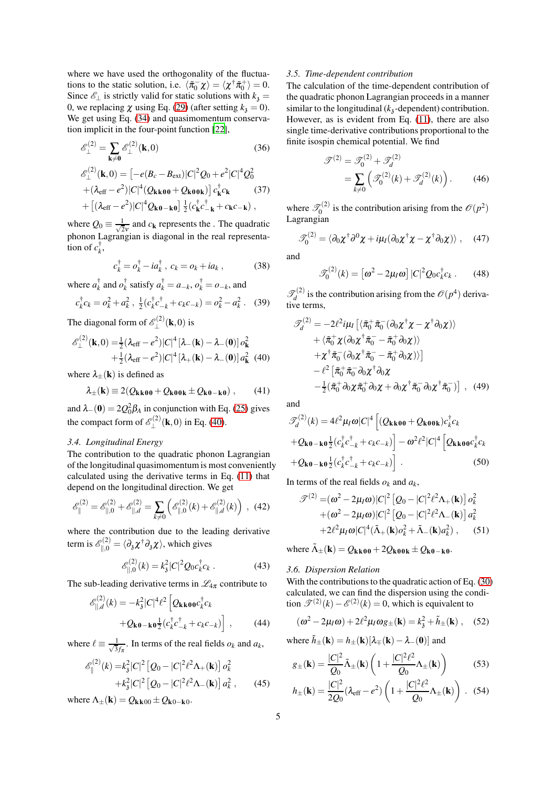where we have used the orthogonality of the fluctuations to the static solution, i.e.  $\langle \tilde{\pi}_0^- \chi \rangle = \langle \chi^{\dagger} \tilde{\pi}_0^+ \rangle = 0$ . Since  $\mathcal{E}_\perp$  is strictly valid for static solutions with  $k_3 =$ 0, we replacing  $\chi$  using Eq. [\(29\)](#page-3-3) (after setting  $k_3 = 0$ ). We get using Eq.  $(34)$  and quasimomentum conservation implicit in the four-point function [\[22](#page-7-21)],

$$
\mathcal{E}_{\perp}^{(2)} = \sum_{\mathbf{k}\neq\mathbf{0}} \mathcal{E}_{\perp}^{(2)}(\mathbf{k}, 0)
$$
(36)  

$$
\mathcal{E}_{\perp}^{(2)}(\mathbf{k}, 0) = \left[ -e(B_c - B_{ext}) |C|^2 Q_0 + e^2 |C|^4 Q_0^2 + (\lambda_{eff} - e^2) |C|^4 (Q_{\mathbf{k}\mathbf{k}\mathbf{0}\mathbf{0}} + Q_{\mathbf{k}\mathbf{0}\mathbf{0}\mathbf{k}}) \right] c_{\mathbf{k}}^{\dagger} c_{\mathbf{k}} \qquad (37)
$$

$$
+ \left[ (\lambda_{eff} - e^2) |C|^4 Q_{\mathbf{k}\mathbf{0} - \mathbf{k}\mathbf{0}} \right] \frac{1}{2} (c_{\mathbf{k}}^{\dagger} c_{-\mathbf{k}}^{\dagger} + c_{\mathbf{k}} c_{-\mathbf{k}}),
$$

where  $Q_0 \equiv \frac{1}{\sqrt{2}}$  $\frac{1}{2v}$  and  $c_k$  represents the . The quadratic phonon Lagrangian is diagonal in the real representa- $\overline{\text{tion of }} c_k^{\dagger}$ ,

$$
c_k^{\dagger} = o_k^{\dagger} - ia_k^{\dagger} , c_k = o_k + ia_k , \qquad (38)
$$

where 
$$
a_k^{\dagger}
$$
 and  $\sigma_k^{\dagger}$  satisfy  $a_k^{\dagger} = a_{-k}$ ,  $\sigma_k^{\dagger} = o_{-k}$ , and  
\n $c_k^{\dagger}c_k = \sigma_k^2 + a_k^2$ ,  $\frac{1}{2}(c_k^{\dagger}c_{-k}^{\dagger} + c_k c_{-k}) = \sigma_k^2 - a_k^2$ . (39)

The diagonal form of  $\mathscr{E}_1^{(2)}$  $\mathcal{L}^{(2)}(\mathbf{k},0)$  is

$$
\mathscr{E}_{\perp}^{(2)}(\mathbf{k},0) = \frac{1}{2} (\lambda_{\text{eff}} - e^2) |C|^4 [\lambda_{-}(\mathbf{k}) - \lambda_{-}(\mathbf{0})] \, o_{\mathbf{k}}^2 + \frac{1}{2} (\lambda_{\text{eff}} - e^2) |C|^4 [\lambda_{+}(\mathbf{k}) - \lambda_{-}(\mathbf{0})] \, a_{\mathbf{k}}^2 \tag{40}
$$

where  $\lambda_{+}(\mathbf{k})$  is defined as

$$
\lambda_{\pm}(\mathbf{k}) \equiv 2(Q_{\mathbf{k}\mathbf{k}\mathbf{0}\mathbf{0}} + Q_{\mathbf{k}\mathbf{0}\mathbf{0}\mathbf{k}} \pm Q_{\mathbf{k}\mathbf{0}-\mathbf{k}\mathbf{0}}), \qquad (41)
$$

and  $\lambda_{-}(\mathbf{0}) = 2Q_0^2 \beta_A$  in conjunction with Eq. [\(25\)](#page-3-5) gives the compact form of  $\mathscr{E}^{(2)}$  $\mathbb{L}^{(2)}(\mathbf{k},0)$  in Eq. [\(40\)](#page-4-0).

## *3.4. Longitudinal Energy*

The contribution to the quadratic phonon Lagrangian of the longitudinal quasimomentum is most conveniently calculated using the derivative terms in Eq. [\(11\)](#page-2-5) that depend on the longitudinal direction. We get

$$
\mathscr{E}_{\parallel}^{(2)} = \mathscr{E}_{\parallel,0}^{(2)} + \mathscr{E}_{\parallel,d}^{(2)} = \sum_{k \neq 0} \left( \mathscr{E}_{\parallel,0}^{(2)}(k) + \mathscr{E}_{\parallel,d}^{(2)}(k) \right) , \tag{42}
$$

where the contribution due to the leading derivative term is  $\mathscr{E}_{\parallel,0}^{(2)} = \langle \partial_3 \chi^\dagger \partial_3 \chi \rangle$ , which gives

$$
\mathcal{E}_{\parallel,0}^{(2)}(k) = k_3^2 |C|^2 Q_0 c_k^{\dagger} c_k . \tag{43}
$$

The sub-leading derivative terms in  $\mathcal{L}_{4\pi}$  contribute to

$$
\mathcal{E}_{\parallel,d}^{(2)}(k) = -k_3^2 |C|^4 \ell^2 \left[ Q_{\mathbf{k}\mathbf{k}\mathbf{0}\mathbf{0}} c_k^{\dagger} c_k + Q_{\mathbf{k}\mathbf{0} - \mathbf{k}\mathbf{0}} \frac{1}{2} (c_k^{\dagger} c_{-k}^{\dagger} + c_k c_{-k}) \right] , \qquad (44)
$$

where  $\ell \equiv \frac{1}{\sqrt{3}}$  $\frac{1}{3f_\pi}$ . In terms of the real fields  $o_k$  and  $a_k$ ,

$$
\begin{aligned} \mathcal{E}_{\parallel}^{(2)}(k) &= k_3^2 |C|^2 \left[ Q_0 - |C|^2 \ell^2 \Lambda_+(\mathbf{k}) \right] \sigma_k^2 \\ &+ k_3^2 |C|^2 \left[ Q_0 - |C|^2 \ell^2 \Lambda_-(\mathbf{k}) \right] \sigma_k^2 \,, \end{aligned} \tag{45}
$$

where  $\Lambda_+(\mathbf{k}) = Q_{\mathbf{k}\mathbf{k}00} \pm Q_{\mathbf{k}0-\mathbf{k}0}$ .

## *3.5. Time-dependent contribution*

The calculation of the time-dependent contribution of the quadratic phonon Lagrangian proceeds in a manner similar to the longitudinal  $(k_3$ -dependent) contribution. However, as is evident from Eq. [\(11\)](#page-2-5), there are also single time-derivative contributions proportional to the finite isospin chemical potential. We find

$$
\mathcal{T}^{(2)} = \mathcal{T}_0^{(2)} + \mathcal{T}_d^{(2)}
$$
  
= 
$$
\sum_{k \neq 0} \left( \mathcal{T}_0^{(2)}(k) + \mathcal{T}_d^{(2)}(k) \right).
$$
 (46)

where  $\mathcal{T}_0^{(2)}$  $\mathcal{O}_0^{(2)}$  is the contribution arising from the  $\mathcal{O}(p^2)$ Lagrangian

$$
\mathscr{T}_0^{(2)} = \langle \partial_0 \chi^\dagger \partial^0 \chi + i \mu_I (\partial_0 \chi^\dagger \chi - \chi^\dagger \partial_0 \chi) \rangle \,, \quad (47)
$$

and

$$
\mathcal{J}_0^{(2)}(k) = \left[\omega^2 - 2\mu_I \omega\right] |C|^2 Q_0 c_k^{\dagger} c_k \,. \tag{48}
$$

 $\mathscr{T}^{(2)}$  $\mathcal{O}(p^4)$  is the contribution arising from the  $\mathcal{O}(p^4)$  derivative terms,

<span id="page-4-0"></span>
$$
\mathcal{F}_d^{(2)} = -2\ell^2 i\mu_I \left[ \langle \tilde{\pi}_0^+ \tilde{\pi}_0^- (\partial_0 \chi^\dagger \chi - \chi^\dagger \partial_0 \chi) \rangle \right. \n+ \langle \tilde{\pi}_0^+ \chi (\partial_0 \chi^\dagger \tilde{\pi}_0^- - \tilde{\pi}_0^+ \partial_0 \chi) \rangle \n+ \chi^\dagger \tilde{\pi}_0^- (\partial_0 \chi^\dagger \tilde{\pi}_0^- - \tilde{\pi}_0^+ \partial_0 \chi) \rangle \right] \n- \ell^2 \left[ \tilde{\pi}_0^+ \tilde{\pi}_0^- \partial_0 \chi^\dagger \partial_0 \chi \n- \frac{1}{2} (\tilde{\pi}_0^+ \partial_0 \chi \tilde{\pi}_0^+ \partial_0 \chi + \partial_0 \chi^\dagger \tilde{\pi}_0^- \partial_0 \chi^\dagger \tilde{\pi}_0^-) \right] , \quad (49)
$$

and

$$
\mathcal{I}_{d}^{(2)}(k) = 4\ell^{2} \mu_{I} \omega |C|^{4} \left[ (Q_{\mathbf{k}k00} + Q_{\mathbf{k}00\mathbf{k}}) c_{k}^{\dagger} c_{k} + Q_{\mathbf{k}0 - \mathbf{k}0} \frac{1}{2} (c_{k}^{\dagger} c_{-k}^{\dagger} + c_{k} c_{-k}) \right] - \omega^{2} \ell^{2} |C|^{4} \left[ Q_{\mathbf{k}k00} c_{k}^{\dagger} c_{k} + Q_{\mathbf{k}0 - \mathbf{k}0} \frac{1}{2} (c_{k}^{\dagger} c_{-k}^{\dagger} + c_{k} c_{-k}) \right] .
$$
\n(50)

In terms of the real fields  $o_k$  and  $a_k$ ,

$$
\mathcal{T}^{(2)} = (\omega^2 - 2\mu_I \omega)|C|^2 [Q_0 - |C|^2 \ell^2 \Lambda_+(\mathbf{k})] \sigma_k^2
$$
  
+ (\omega^2 - 2\mu\_I \omega)|C|^2 [Q\_0 - |C|^2 \ell^2 \Lambda\_-(\mathbf{k})] \sigma\_k^2  
+ 2\ell^2 \mu\_I \omega|C|^4 (\tilde{\Lambda}\_+(\mathbf{k}) \sigma\_k^2 + \tilde{\Lambda}\_-(\mathbf{k}) \sigma\_k^2), (51)

where  $\tilde{\Lambda}_{\pm}(\mathbf{k}) = Q_{\mathbf{k}\mathbf{k}00} + 2Q_{\mathbf{k}00\mathbf{k}} \pm Q_{\mathbf{k}0-\mathbf{k}0}$ .

# *3.6. Dispersion Relation*

With the contributions to the quadratic action of Eq. [\(30\)](#page-3-6) calculated, we can find the dispersion using the condition  $\mathcal{T}^{(2)}(k) - \mathcal{E}^{(2)}(k) = 0$ , which is equivalent to

$$
(\omega^2 - 2\mu_I \omega) + 2\ell^2 \mu_I \omega g_{\pm}(\mathbf{k}) = k_3^2 + \tilde{h}_{\pm}(\mathbf{k}) , \quad (52)
$$

where  $\tilde{h}_{\pm}(\mathbf{k}) = h_{\pm}(\mathbf{k})[\lambda_{\mp}(\mathbf{k}) - \lambda_{-}(\mathbf{0})]$  and

$$
g_{\pm}(\mathbf{k}) = \frac{|C|^2}{Q_0} \tilde{\Lambda}_{\pm}(\mathbf{k}) \left( 1 + \frac{|C|^2 \ell^2}{Q_0} \Lambda_{\pm}(\mathbf{k}) \right) \tag{53}
$$

<span id="page-4-1"></span>
$$
h_{\pm}(\mathbf{k}) = \frac{|C|^2}{2Q_0} (\lambda_{\text{eff}} - e^2) \left( 1 + \frac{|C|^2 \ell^2}{Q_0} \Lambda_{\pm}(\mathbf{k}) \right) . \tag{54}
$$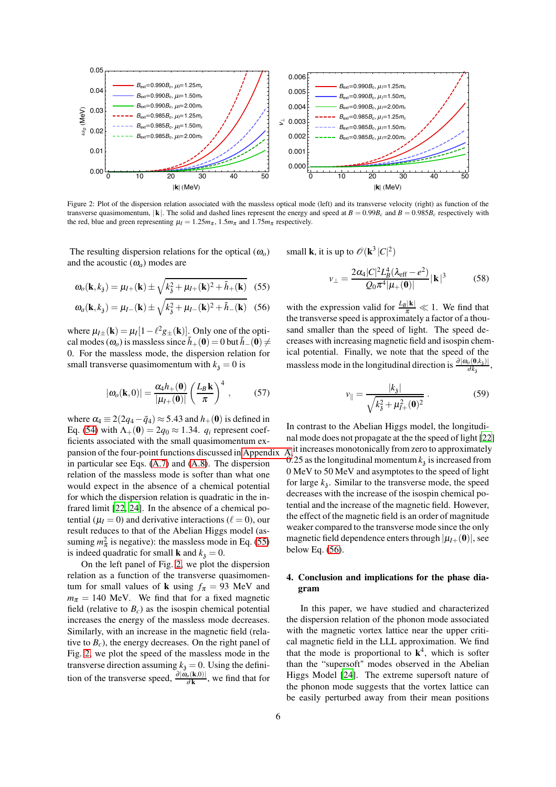<span id="page-5-1"></span>

Figure 2: Plot of the dispersion relation associated with the massless optical mode (left) and its transverse velocity (right) as function of the transverse quasimomentum.  $|k|$ . The solid and dashed lines represent the energy and speed at  $B = 0.99B_c$  and  $B = 0.985B_c$  respectively with the red, blue and green representing  $\mu_I = 1.25m_{\pi}$ , 1.5 $m_{\pi}$  and 1.75 $m_{\pi}$  respectively.

The resulting dispersion relations for the optical  $(\omega_o)$ and the acoustic  $(\omega_a)$  modes are

$$
\omega_o(\mathbf{k}, k_\delta) = \mu_{I+}(\mathbf{k}) \pm \sqrt{k_\delta^2 + \mu_{I+}(\mathbf{k})^2 + \tilde{h}_+(\mathbf{k})}
$$
 (55)

$$
\omega_a(\mathbf{k}, k_3) = \mu_{I-}(\mathbf{k}) \pm \sqrt{k_3^2 + \mu_{I-}(\mathbf{k})^2 + \tilde{h}_-(\mathbf{k})} \quad (56)
$$

where  $\mu_I \neq (\mathbf{k}) = \mu_I [1 - \ell^2 g_{\pm}(\mathbf{k})]$ . Only one of the optical modes ( $\omega_o$ ) is massless since  $\tilde{h}_+(\mathbf{0}) = 0$  but  $\tilde{h}_-(\mathbf{0}) \neq 0$ 0. For the massless mode, the dispersion relation for small transverse quasimomentum with  $k_3 = 0$  is

$$
|\omega_o(\mathbf{k},0)| = \frac{\alpha_4 h_+(\mathbf{0})}{|\mu_I+(\mathbf{0})|} \left(\frac{L_B \mathbf{k}}{\pi}\right)^4 ,\qquad (57)
$$

where  $\alpha_4 \equiv 2(2q_4 - \tilde{q}_4) \approx 5.43$  and  $h_+(0)$  is defined in Eq. [\(54\)](#page-4-1) with  $\Lambda_+(\mathbf{0}) = 2q_0 \approx 1.34$ .  $q_i$  represent coefficients associated with the small quasimomentum expansion of the four-point functions discussed in Appendix in particular see Eqs. [\(A.7\)](#page-7-23) and [\(A.8\)](#page-7-24). The dispersion relation of the massless mode is softer than what one would expect in the absence of a chemical potential for which the dispersion relation is quadratic in the infrared limit [\[22,](#page-7-21) [24\]](#page-7-25). In the absence of a chemical potential ( $\mu$ <sup>*I*</sup> = 0) and derivative interactions ( $\ell$  = 0), our result reduces to that of the Abelian Higgs model (assuming  $m_{\pi}^2$  is negative): the massless mode in Eq. [\(55\)](#page-5-0) is indeed quadratic for small **k** and  $k_3 = 0$ .

On the left panel of Fig. [2,](#page-5-1) we plot the dispersion relation as a function of the transverse quasimomentum for small values of **k** using  $f_{\pi} = 93$  MeV and  $m_{\pi}$  = 140 MeV. We find that for a fixed magnetic field (relative to  $B_c$ ) as the isospin chemical potential increases the energy of the massless mode decreases. Similarly, with an increase in the magnetic field (relative to  $B_c$ ), the energy decreases. On the right panel of Fig. [2,](#page-5-1) we plot the speed of the massless mode in the transverse direction assuming  $k_3 = 0$ . Using the definition of the transverse speed,  $\frac{\partial |\omega_o(\mathbf{k},0)|}{\partial \mathbf{k}}$ , we find that for

small **k**, it is up to  $\mathscr{O}(\mathbf{k}^3 |C|^2)$ 

$$
v_{\perp} = \frac{2\alpha_4 |C|^2 L_B^4 (\lambda_{\text{eff}} - e^2)}{Q_0 \pi^4 |\mu_+(0)|} |\mathbf{k}|^3 \tag{58}
$$

<span id="page-5-2"></span><span id="page-5-0"></span>with the expression valid for  $\frac{L_B|\mathbf{k}|}{\pi} \ll 1$ . We find that the transverse speed is approximately a factor of a thousand smaller than the speed of light. The speed decreases with increasing magnetic field and isospin chemical potential. Finally, we note that the speed of the massless mode in the longitudinal direction is  $\frac{\partial |\omega_o(\mathbf{0},k_3)|}{\partial k_3}$ ,

$$
v_{\parallel} = \frac{|k_3|}{\sqrt{k_3^2 + \mu_{I+}^2(\mathbf{0})^2}} \,. \tag{59}
$$

In contrast to the Abelian Higgs model, the longitudinal mode does not propagate at the the speed of light [\[22](#page-7-21)]  $\overline{A}$  it increases monotonically from zero to approximately 0.25 as the longitudinal momentum  $k<sub>3</sub>$  is increased from 0 MeV to 50 MeV and asymptotes to the speed of light for large  $k_3$ . Similar to the transverse mode, the speed decreases with the increase of the isospin chemical potential and the increase of the magnetic field. However, the effect of the magnetic field is an order of magnitude weaker compared to the transverse mode since the only magnetic field dependence enters through  $|\mu_{I+}(\mathbf{0})|$ , see below Eq. [\(56\)](#page-5-2).

# 4. Conclusion and implications for the phase diagram

In this paper, we have studied and characterized the dispersion relation of the phonon mode associated with the magnetic vortex lattice near the upper critical magnetic field in the LLL approximation. We find that the mode is proportional to  $k^4$ , which is softer than the "supersoft" modes observed in the Abelian Higgs Model [\[24\]](#page-7-25). The extreme supersoft nature of the phonon mode suggests that the vortex lattice can be easily perturbed away from their mean positions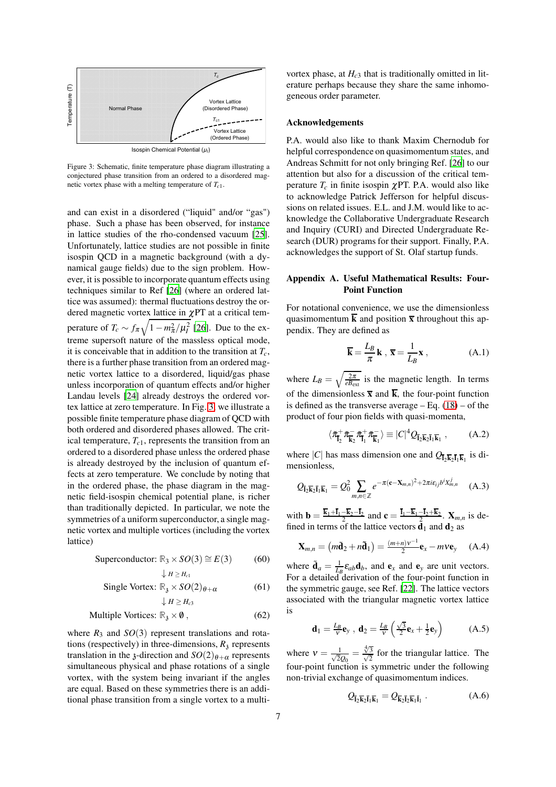<span id="page-6-2"></span>

Figure 3: Schematic, finite temperature phase diagram illustrating a conjectured phase transition from an ordered to a disordered magnetic vortex phase with a melting temperature of *Tc*1.

and can exist in a disordered ("liquid" and/or "gas") phase. Such a phase has been observed, for instance in lattice studies of the rho-condensed vacuum [\[25\]](#page-7-26). Unfortunately, lattice studies are not possible in finite isospin QCD in a magnetic background (with a dynamical gauge fields) due to the sign problem. However, it is possible to incorporate quantum effects using techniques similar to Ref [\[26](#page-7-27)] (where an ordered lattice was assumed): thermal fluctuations destroy the ordered magnetic vortex lattice in  $\chi$ PT at a critical temperature of  $T_c \sim f_\pi \sqrt{1 - m_\pi^2 / \mu_I^2}$  [\[26](#page-7-27)]. Due to the extreme supersoft nature of the massless optical mode, it is conceivable that in addition to the transition at *Tc*, there is a further phase transition from an ordered magnetic vortex lattice to a disordered, liquid/gas phase unless incorporation of quantum effects and/or higher Landau levels [\[24\]](#page-7-25) already destroys the ordered vortex lattice at zero temperature. In Fig. [3,](#page-6-2) we illustrate a possible finite temperature phase diagram of QCD with both ordered and disordered phases allowed. The critical temperature,  $T_{c1}$ , represents the transition from an ordered to a disordered phase unless the ordered phase is already destroyed by the inclusion of quantum effects at zero temperature. We conclude by noting that in the ordered phase, the phase diagram in the magnetic field-isospin chemical potential plane, is richer than traditionally depicted. In particular, we note the symmetries of a uniform superconductor, a single magnetic vortex and multiple vortices (including the vortex lattice)

Superconductor: 
$$
\mathbb{R}_3 \times SO(3) \cong E(3)
$$
 (60)  
 $\downarrow_{H \geq H_3}$ 

$$
\text{Single Vortex: } \mathbb{R}_3 \times SO(2)_{\theta+\alpha} \tag{61}
$$
\n
$$
\downarrow H \geq H_{c3}
$$

$$
Multiple Vortices: \mathbb{R}_{3} \times \emptyset , \qquad (62)
$$

where  $R_3$  and  $SO(3)$  represent translations and rotations (respectively) in three-dimensions,  $R_3$  represents translation in the *z*-direction and  $SO(2)_{\theta+\alpha}$  represents simultaneous physical and phase rotations of a single vortex, with the system being invariant if the angles are equal. Based on these symmetries there is an additional phase transition from a single vortex to a multivortex phase, at  $H_{c3}$  that is traditionally omitted in literature perhaps because they share the same inhomogeneous order parameter.

## Acknowledgements

P.A. would also like to thank Maxim Chernodub for helpful correspondence on quasimomentum states, and Andreas Schmitt for not only bringing Ref. [\[26](#page-7-27)] to our attention but also for a discussion of the critical temperature  $T_c$  in finite isospin  $\chi$ PT. P.A. would also like to acknowledge Patrick Jefferson for helpful discussions on related issues. E.L. and J.M. would like to acknowledge the Collaborative Undergraduate Research and Inquiry (CURI) and Directed Undergraduate Research (DUR) programs for their support. Finally, P.A. acknowledges the support of St. Olaf startup funds.

# <span id="page-6-1"></span>Appendix A. Useful Mathematical Results: Four-Point Function

For notational convenience, we use the dimensionless quasimomentum  $\overline{k}$  and position  $\overline{x}$  throughout this appendix. They are defined as

$$
\overline{\mathbf{k}} = \frac{L_B}{\pi} \mathbf{k} , \overline{\mathbf{x}} = \frac{1}{L_B} \mathbf{x} ,
$$
 (A.1)

where  $L_B = \sqrt{\frac{2\pi}{eB_{\text{ext}}}}$  is the magnetic length. In terms of the dimensionless  $\bar{x}$  and  $\bar{k}$ , the four-point function is defined as the transverse average  $-$  Eq. [\(18\)](#page-2-6)  $-$  of the product of four pion fields with quasi-momenta,

<span id="page-6-3"></span>
$$
\langle \tilde{\pi}_{\bar{\mathbf{l}}_2}^+ \tilde{\pi}_{\bar{\mathbf{k}}_2}^- \tilde{\pi}_{\bar{\mathbf{l}}_1}^+ \tilde{\pi}_{\bar{\mathbf{k}}_1}^- \rangle \equiv |C|^4 \mathcal{Q}_{\bar{\mathbf{l}}_2 \bar{\mathbf{k}}_2 \bar{\mathbf{l}}_1 \bar{\mathbf{k}}_1} ,\qquad (A.2)
$$

where |*C*| has mass dimension one and  $Q_{\bar{l}_2\bar{k}_2\bar{l}_1\bar{k}_1}$  is dimensionless,

$$
Q_{\bar{\mathbf{l}}_2 \bar{\mathbf{k}}_2 \bar{\mathbf{l}}_1 \bar{\mathbf{k}}_1} = Q_0^2 \sum_{m,n \in \mathbb{Z}} e^{-\pi (\mathbf{c} - \mathbf{X}_{m,n})^2 + 2\pi i \varepsilon_{ij} b^i X_{m,n}^j} \quad \text{(A.3)}
$$

with **b** =  $\frac{k_1 + l_1 - k_2 - l_2}{2}$  and **c** =  $\frac{l_1 - k_1 - l_2 + k_2}{2}$ . **X**<sub>*m,n*</sub> is defined in terms of the lattice vectors  $\mathbf{d}_1$  and  $\mathbf{d}_2$  as

$$
\mathbf{X}_{m,n} = \left(m\tilde{\mathbf{d}}_2 + n\tilde{\mathbf{d}}_1\right) = \frac{(m+n)v^{-1}}{2}\mathbf{e}_x - m\mathbf{v}\mathbf{e}_y \quad (A.4)
$$

where  $\tilde{\mathbf{d}}_a = \frac{1}{L_B} \mathbf{\varepsilon}_{ab} \mathbf{d}_b$ , and  $\mathbf{e}_x$  and  $\mathbf{e}_y$  are unit vectors. For a detailed derivation of the four-point function in the symmetric gauge, see Ref. [\[22\]](#page-7-21). The lattice vectors associated with the triangular magnetic vortex lattice is

$$
\mathbf{d}_1 = \frac{L_B}{v} \mathbf{e}_y \ , \ \mathbf{d}_2 = \frac{L_B}{v} \left( \frac{\sqrt{3}}{2} \mathbf{e}_x + \frac{1}{2} \mathbf{e}_y \right) \tag{A.5}
$$

<span id="page-6-0"></span>where  $v = \frac{1}{\sqrt{2}}$  $rac{1}{2Q_0} = \frac{\sqrt[4]{3}}{\sqrt{3}}$  $\frac{\sqrt[4]{3}}{\sqrt{2}}$  $\frac{3}{2}$  for the triangular lattice. The four-point function is symmetric under the following non-trivial exchange of quasimomentum indices.

$$
Q_{\overline{\mathbf{i}}_2 \overline{\mathbf{k}}_2 \overline{\mathbf{i}}_1 \overline{\mathbf{k}}_1} = Q_{\overline{\mathbf{k}}_2 \overline{\mathbf{i}}_2 \overline{\mathbf{k}}_1 \overline{\mathbf{i}}_1} .
$$
 (A.6)